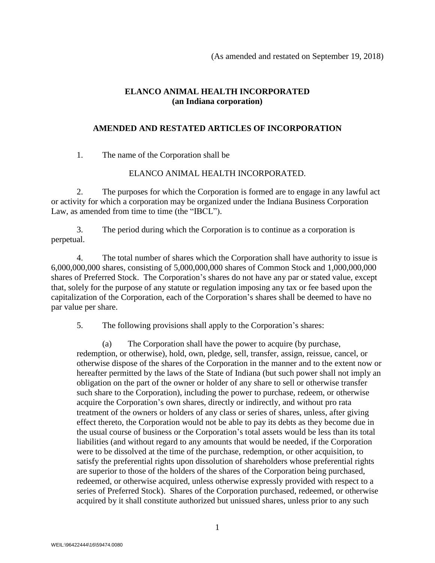## **ELANCO ANIMAL HEALTH INCORPORATED (an Indiana corporation)**

## **AMENDED AND RESTATED ARTICLES OF INCORPORATION**

1. The name of the Corporation shall be

## ELANCO ANIMAL HEALTH INCORPORATED.

2. The purposes for which the Corporation is formed are to engage in any lawful act or activity for which a corporation may be organized under the Indiana Business Corporation Law, as amended from time to time (the "IBCL").

3. The period during which the Corporation is to continue as a corporation is perpetual.

4. The total number of shares which the Corporation shall have authority to issue is 6,000,000,000 shares, consisting of 5,000,000,000 shares of Common Stock and 1,000,000,000 shares of Preferred Stock. The Corporation's shares do not have any par or stated value, except that, solely for the purpose of any statute or regulation imposing any tax or fee based upon the capitalization of the Corporation, each of the Corporation's shares shall be deemed to have no par value per share.

5. The following provisions shall apply to the Corporation's shares:

(a) The Corporation shall have the power to acquire (by purchase, redemption, or otherwise), hold, own, pledge, sell, transfer, assign, reissue, cancel, or otherwise dispose of the shares of the Corporation in the manner and to the extent now or hereafter permitted by the laws of the State of Indiana (but such power shall not imply an obligation on the part of the owner or holder of any share to sell or otherwise transfer such share to the Corporation), including the power to purchase, redeem, or otherwise acquire the Corporation's own shares, directly or indirectly, and without pro rata treatment of the owners or holders of any class or series of shares, unless, after giving effect thereto, the Corporation would not be able to pay its debts as they become due in the usual course of business or the Corporation's total assets would be less than its total liabilities (and without regard to any amounts that would be needed, if the Corporation were to be dissolved at the time of the purchase, redemption, or other acquisition, to satisfy the preferential rights upon dissolution of shareholders whose preferential rights are superior to those of the holders of the shares of the Corporation being purchased, redeemed, or otherwise acquired, unless otherwise expressly provided with respect to a series of Preferred Stock). Shares of the Corporation purchased, redeemed, or otherwise acquired by it shall constitute authorized but unissued shares, unless prior to any such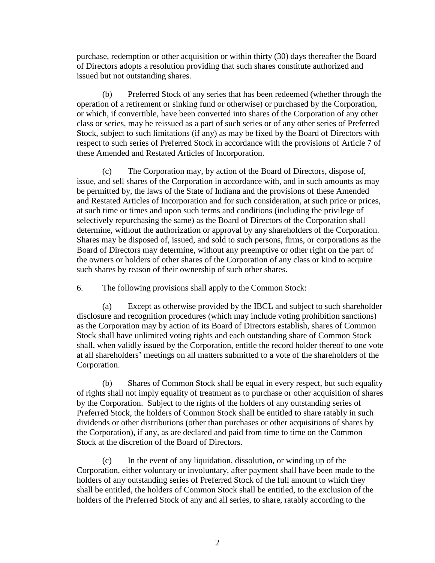purchase, redemption or other acquisition or within thirty (30) days thereafter the Board of Directors adopts a resolution providing that such shares constitute authorized and issued but not outstanding shares.

(b) Preferred Stock of any series that has been redeemed (whether through the operation of a retirement or sinking fund or otherwise) or purchased by the Corporation, or which, if convertible, have been converted into shares of the Corporation of any other class or series, may be reissued as a part of such series or of any other series of Preferred Stock, subject to such limitations (if any) as may be fixed by the Board of Directors with respect to such series of Preferred Stock in accordance with the provisions of Article 7 of these Amended and Restated Articles of Incorporation.

(c) The Corporation may, by action of the Board of Directors, dispose of, issue, and sell shares of the Corporation in accordance with, and in such amounts as may be permitted by, the laws of the State of Indiana and the provisions of these Amended and Restated Articles of Incorporation and for such consideration, at such price or prices, at such time or times and upon such terms and conditions (including the privilege of selectively repurchasing the same) as the Board of Directors of the Corporation shall determine, without the authorization or approval by any shareholders of the Corporation. Shares may be disposed of, issued, and sold to such persons, firms, or corporations as the Board of Directors may determine, without any preemptive or other right on the part of the owners or holders of other shares of the Corporation of any class or kind to acquire such shares by reason of their ownership of such other shares.

6. The following provisions shall apply to the Common Stock:

(a) Except as otherwise provided by the IBCL and subject to such shareholder disclosure and recognition procedures (which may include voting prohibition sanctions) as the Corporation may by action of its Board of Directors establish, shares of Common Stock shall have unlimited voting rights and each outstanding share of Common Stock shall, when validly issued by the Corporation, entitle the record holder thereof to one vote at all shareholders' meetings on all matters submitted to a vote of the shareholders of the Corporation.

(b) Shares of Common Stock shall be equal in every respect, but such equality of rights shall not imply equality of treatment as to purchase or other acquisition of shares by the Corporation. Subject to the rights of the holders of any outstanding series of Preferred Stock, the holders of Common Stock shall be entitled to share ratably in such dividends or other distributions (other than purchases or other acquisitions of shares by the Corporation), if any, as are declared and paid from time to time on the Common Stock at the discretion of the Board of Directors.

(c) In the event of any liquidation, dissolution, or winding up of the Corporation, either voluntary or involuntary, after payment shall have been made to the holders of any outstanding series of Preferred Stock of the full amount to which they shall be entitled, the holders of Common Stock shall be entitled, to the exclusion of the holders of the Preferred Stock of any and all series, to share, ratably according to the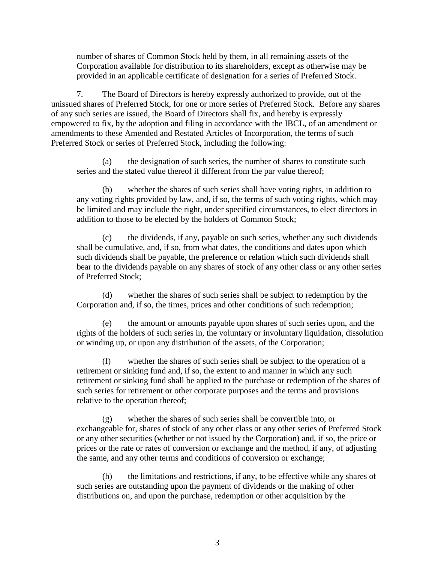number of shares of Common Stock held by them, in all remaining assets of the Corporation available for distribution to its shareholders, except as otherwise may be provided in an applicable certificate of designation for a series of Preferred Stock.

7. The Board of Directors is hereby expressly authorized to provide, out of the unissued shares of Preferred Stock, for one or more series of Preferred Stock. Before any shares of any such series are issued, the Board of Directors shall fix, and hereby is expressly empowered to fix, by the adoption and filing in accordance with the IBCL, of an amendment or amendments to these Amended and Restated Articles of Incorporation, the terms of such Preferred Stock or series of Preferred Stock, including the following:

(a) the designation of such series, the number of shares to constitute such series and the stated value thereof if different from the par value thereof;

(b) whether the shares of such series shall have voting rights, in addition to any voting rights provided by law, and, if so, the terms of such voting rights, which may be limited and may include the right, under specified circumstances, to elect directors in addition to those to be elected by the holders of Common Stock;

(c) the dividends, if any, payable on such series, whether any such dividends shall be cumulative, and, if so, from what dates, the conditions and dates upon which such dividends shall be payable, the preference or relation which such dividends shall bear to the dividends payable on any shares of stock of any other class or any other series of Preferred Stock;

(d) whether the shares of such series shall be subject to redemption by the Corporation and, if so, the times, prices and other conditions of such redemption;

(e) the amount or amounts payable upon shares of such series upon, and the rights of the holders of such series in, the voluntary or involuntary liquidation, dissolution or winding up, or upon any distribution of the assets, of the Corporation;

(f) whether the shares of such series shall be subject to the operation of a retirement or sinking fund and, if so, the extent to and manner in which any such retirement or sinking fund shall be applied to the purchase or redemption of the shares of such series for retirement or other corporate purposes and the terms and provisions relative to the operation thereof;

(g) whether the shares of such series shall be convertible into, or exchangeable for, shares of stock of any other class or any other series of Preferred Stock or any other securities (whether or not issued by the Corporation) and, if so, the price or prices or the rate or rates of conversion or exchange and the method, if any, of adjusting the same, and any other terms and conditions of conversion or exchange;

(h) the limitations and restrictions, if any, to be effective while any shares of such series are outstanding upon the payment of dividends or the making of other distributions on, and upon the purchase, redemption or other acquisition by the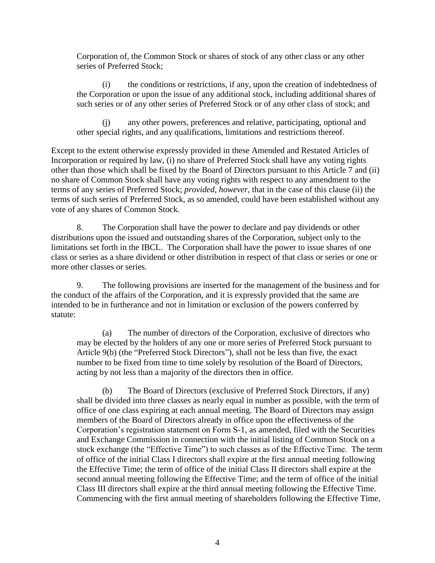Corporation of, the Common Stock or shares of stock of any other class or any other series of Preferred Stock;

(i) the conditions or restrictions, if any, upon the creation of indebtedness of the Corporation or upon the issue of any additional stock, including additional shares of such series or of any other series of Preferred Stock or of any other class of stock; and

(j) any other powers, preferences and relative, participating, optional and other special rights, and any qualifications, limitations and restrictions thereof.

Except to the extent otherwise expressly provided in these Amended and Restated Articles of Incorporation or required by law, (i) no share of Preferred Stock shall have any voting rights other than those which shall be fixed by the Board of Directors pursuant to this Article 7 and (ii) no share of Common Stock shall have any voting rights with respect to any amendment to the terms of any series of Preferred Stock; *provided, however*, that in the case of this clause (ii) the terms of such series of Preferred Stock, as so amended, could have been established without any vote of any shares of Common Stock.

8. The Corporation shall have the power to declare and pay dividends or other distributions upon the issued and outstanding shares of the Corporation, subject only to the limitations set forth in the IBCL. The Corporation shall have the power to issue shares of one class or series as a share dividend or other distribution in respect of that class or series or one or more other classes or series.

9. The following provisions are inserted for the management of the business and for the conduct of the affairs of the Corporation, and it is expressly provided that the same are intended to be in furtherance and not in limitation or exclusion of the powers conferred by statute:

(a) The number of directors of the Corporation, exclusive of directors who may be elected by the holders of any one or more series of Preferred Stock pursuant to Article 9(b) (the "Preferred Stock Directors"), shall not be less than five, the exact number to be fixed from time to time solely by resolution of the Board of Directors, acting by not less than a majority of the directors then in office.

(b) The Board of Directors (exclusive of Preferred Stock Directors, if any) shall be divided into three classes as nearly equal in number as possible, with the term of office of one class expiring at each annual meeting. The Board of Directors may assign members of the Board of Directors already in office upon the effectiveness of the Corporation's registration statement on Form S-1, as amended, filed with the Securities and Exchange Commission in connection with the initial listing of Common Stock on a stock exchange (the "Effective Time") to such classes as of the Effective Time. The term of office of the initial Class I directors shall expire at the first annual meeting following the Effective Time; the term of office of the initial Class II directors shall expire at the second annual meeting following the Effective Time; and the term of office of the initial Class III directors shall expire at the third annual meeting following the Effective Time. Commencing with the first annual meeting of shareholders following the Effective Time,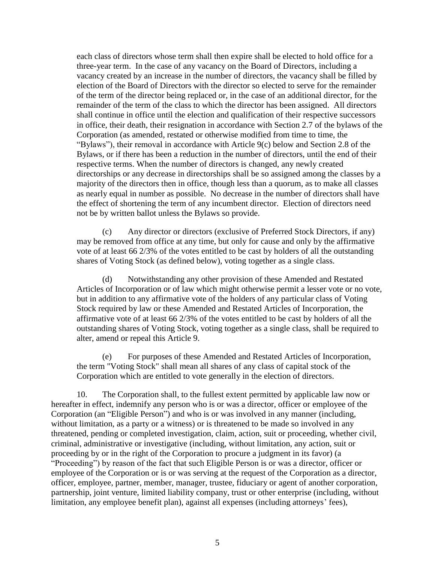each class of directors whose term shall then expire shall be elected to hold office for a three-year term. In the case of any vacancy on the Board of Directors, including a vacancy created by an increase in the number of directors, the vacancy shall be filled by election of the Board of Directors with the director so elected to serve for the remainder of the term of the director being replaced or, in the case of an additional director, for the remainder of the term of the class to which the director has been assigned. All directors shall continue in office until the election and qualification of their respective successors in office, their death, their resignation in accordance with Section 2.7 of the bylaws of the Corporation (as amended, restated or otherwise modified from time to time, the "Bylaws"), their removal in accordance with Article 9(c) below and Section 2.8 of the Bylaws, or if there has been a reduction in the number of directors, until the end of their respective terms. When the number of directors is changed, any newly created directorships or any decrease in directorships shall be so assigned among the classes by a majority of the directors then in office, though less than a quorum, as to make all classes as nearly equal in number as possible. No decrease in the number of directors shall have the effect of shortening the term of any incumbent director. Election of directors need not be by written ballot unless the Bylaws so provide.

(c) Any director or directors (exclusive of Preferred Stock Directors, if any) may be removed from office at any time, but only for cause and only by the affirmative vote of at least 66 2/3% of the votes entitled to be cast by holders of all the outstanding shares of Voting Stock (as defined below), voting together as a single class.

(d) Notwithstanding any other provision of these Amended and Restated Articles of Incorporation or of law which might otherwise permit a lesser vote or no vote, but in addition to any affirmative vote of the holders of any particular class of Voting Stock required by law or these Amended and Restated Articles of Incorporation, the affirmative vote of at least 66 2/3% of the votes entitled to be cast by holders of all the outstanding shares of Voting Stock, voting together as a single class, shall be required to alter, amend or repeal this Article 9.

(e) For purposes of these Amended and Restated Articles of Incorporation, the term "Voting Stock" shall mean all shares of any class of capital stock of the Corporation which are entitled to vote generally in the election of directors.

10. The Corporation shall, to the fullest extent permitted by applicable law now or hereafter in effect, indemnify any person who is or was a director, officer or employee of the Corporation (an "Eligible Person") and who is or was involved in any manner (including, without limitation, as a party or a witness) or is threatened to be made so involved in any threatened, pending or completed investigation, claim, action, suit or proceeding, whether civil, criminal, administrative or investigative (including, without limitation, any action, suit or proceeding by or in the right of the Corporation to procure a judgment in its favor) (a "Proceeding") by reason of the fact that such Eligible Person is or was a director, officer or employee of the Corporation or is or was serving at the request of the Corporation as a director, officer, employee, partner, member, manager, trustee, fiduciary or agent of another corporation, partnership, joint venture, limited liability company, trust or other enterprise (including, without limitation, any employee benefit plan), against all expenses (including attorneys' fees),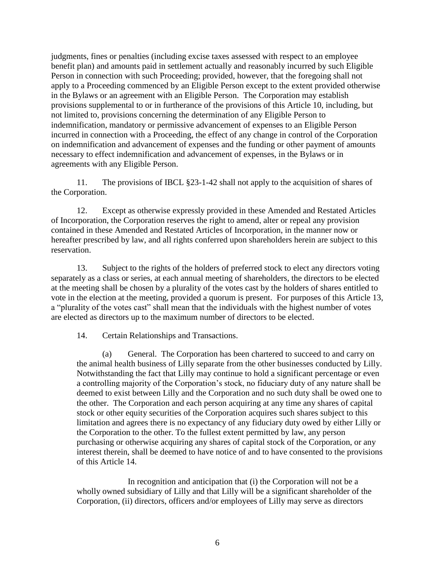judgments, fines or penalties (including excise taxes assessed with respect to an employee benefit plan) and amounts paid in settlement actually and reasonably incurred by such Eligible Person in connection with such Proceeding; provided, however, that the foregoing shall not apply to a Proceeding commenced by an Eligible Person except to the extent provided otherwise in the Bylaws or an agreement with an Eligible Person. The Corporation may establish provisions supplemental to or in furtherance of the provisions of this Article 10, including, but not limited to, provisions concerning the determination of any Eligible Person to indemnification, mandatory or permissive advancement of expenses to an Eligible Person incurred in connection with a Proceeding, the effect of any change in control of the Corporation on indemnification and advancement of expenses and the funding or other payment of amounts necessary to effect indemnification and advancement of expenses, in the Bylaws or in agreements with any Eligible Person.

11. The provisions of IBCL §23-1-42 shall not apply to the acquisition of shares of the Corporation.

12. Except as otherwise expressly provided in these Amended and Restated Articles of Incorporation, the Corporation reserves the right to amend, alter or repeal any provision contained in these Amended and Restated Articles of Incorporation, in the manner now or hereafter prescribed by law, and all rights conferred upon shareholders herein are subject to this reservation.

13. Subject to the rights of the holders of preferred stock to elect any directors voting separately as a class or series, at each annual meeting of shareholders, the directors to be elected at the meeting shall be chosen by a plurality of the votes cast by the holders of shares entitled to vote in the election at the meeting, provided a quorum is present. For purposes of this Article 13, a "plurality of the votes cast" shall mean that the individuals with the highest number of votes are elected as directors up to the maximum number of directors to be elected.

14. Certain Relationships and Transactions.

(a) General. The Corporation has been chartered to succeed to and carry on the animal health business of Lilly separate from the other businesses conducted by Lilly. Notwithstanding the fact that Lilly may continue to hold a significant percentage or even a controlling majority of the Corporation's stock, no fiduciary duty of any nature shall be deemed to exist between Lilly and the Corporation and no such duty shall be owed one to the other. The Corporation and each person acquiring at any time any shares of capital stock or other equity securities of the Corporation acquires such shares subject to this limitation and agrees there is no expectancy of any fiduciary duty owed by either Lilly or the Corporation to the other. To the fullest extent permitted by law, any person purchasing or otherwise acquiring any shares of capital stock of the Corporation, or any interest therein, shall be deemed to have notice of and to have consented to the provisions of this Article 14.

In recognition and anticipation that (i) the Corporation will not be a wholly owned subsidiary of Lilly and that Lilly will be a significant shareholder of the Corporation, (ii) directors, officers and/or employees of Lilly may serve as directors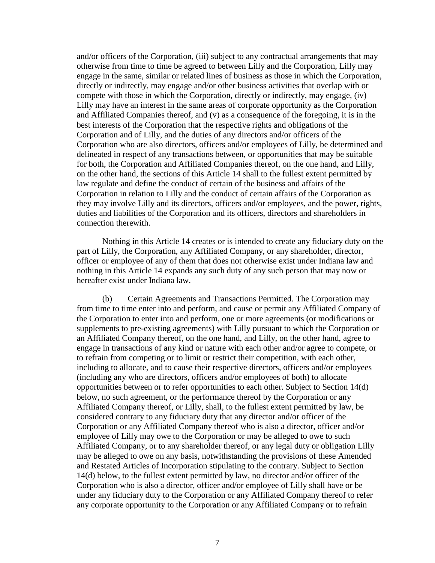and/or officers of the Corporation, (iii) subject to any contractual arrangements that may otherwise from time to time be agreed to between Lilly and the Corporation, Lilly may engage in the same, similar or related lines of business as those in which the Corporation, directly or indirectly, may engage and/or other business activities that overlap with or compete with those in which the Corporation, directly or indirectly, may engage, (iv) Lilly may have an interest in the same areas of corporate opportunity as the Corporation and Affiliated Companies thereof, and (v) as a consequence of the foregoing, it is in the best interests of the Corporation that the respective rights and obligations of the Corporation and of Lilly, and the duties of any directors and/or officers of the Corporation who are also directors, officers and/or employees of Lilly, be determined and delineated in respect of any transactions between, or opportunities that may be suitable for both, the Corporation and Affiliated Companies thereof, on the one hand, and Lilly, on the other hand, the sections of this Article 14 shall to the fullest extent permitted by law regulate and define the conduct of certain of the business and affairs of the Corporation in relation to Lilly and the conduct of certain affairs of the Corporation as they may involve Lilly and its directors, officers and/or employees, and the power, rights, duties and liabilities of the Corporation and its officers, directors and shareholders in connection therewith.

Nothing in this Article 14 creates or is intended to create any fiduciary duty on the part of Lilly, the Corporation, any Affiliated Company, or any shareholder, director, officer or employee of any of them that does not otherwise exist under Indiana law and nothing in this Article 14 expands any such duty of any such person that may now or hereafter exist under Indiana law.

(b) Certain Agreements and Transactions Permitted. The Corporation may from time to time enter into and perform, and cause or permit any Affiliated Company of the Corporation to enter into and perform, one or more agreements (or modifications or supplements to pre-existing agreements) with Lilly pursuant to which the Corporation or an Affiliated Company thereof, on the one hand, and Lilly, on the other hand, agree to engage in transactions of any kind or nature with each other and/or agree to compete, or to refrain from competing or to limit or restrict their competition, with each other, including to allocate, and to cause their respective directors, officers and/or employees (including any who are directors, officers and/or employees of both) to allocate opportunities between or to refer opportunities to each other. Subject to Section 14(d) below, no such agreement, or the performance thereof by the Corporation or any Affiliated Company thereof, or Lilly, shall, to the fullest extent permitted by law, be considered contrary to any fiduciary duty that any director and/or officer of the Corporation or any Affiliated Company thereof who is also a director, officer and/or employee of Lilly may owe to the Corporation or may be alleged to owe to such Affiliated Company, or to any shareholder thereof, or any legal duty or obligation Lilly may be alleged to owe on any basis, notwithstanding the provisions of these Amended and Restated Articles of Incorporation stipulating to the contrary. Subject to Section 14(d) below, to the fullest extent permitted by law, no director and/or officer of the Corporation who is also a director, officer and/or employee of Lilly shall have or be under any fiduciary duty to the Corporation or any Affiliated Company thereof to refer any corporate opportunity to the Corporation or any Affiliated Company or to refrain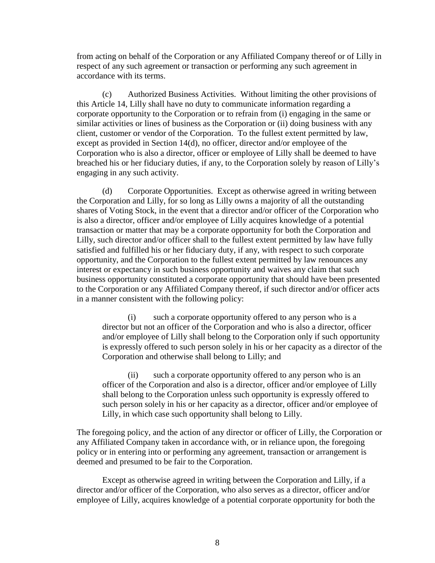from acting on behalf of the Corporation or any Affiliated Company thereof or of Lilly in respect of any such agreement or transaction or performing any such agreement in accordance with its terms.

(c) Authorized Business Activities. Without limiting the other provisions of this Article 14, Lilly shall have no duty to communicate information regarding a corporate opportunity to the Corporation or to refrain from (i) engaging in the same or similar activities or lines of business as the Corporation or (ii) doing business with any client, customer or vendor of the Corporation. To the fullest extent permitted by law, except as provided in Section 14(d), no officer, director and/or employee of the Corporation who is also a director, officer or employee of Lilly shall be deemed to have breached his or her fiduciary duties, if any, to the Corporation solely by reason of Lilly's engaging in any such activity.

(d) Corporate Opportunities. Except as otherwise agreed in writing between the Corporation and Lilly, for so long as Lilly owns a majority of all the outstanding shares of Voting Stock, in the event that a director and/or officer of the Corporation who is also a director, officer and/or employee of Lilly acquires knowledge of a potential transaction or matter that may be a corporate opportunity for both the Corporation and Lilly, such director and/or officer shall to the fullest extent permitted by law have fully satisfied and fulfilled his or her fiduciary duty, if any, with respect to such corporate opportunity, and the Corporation to the fullest extent permitted by law renounces any interest or expectancy in such business opportunity and waives any claim that such business opportunity constituted a corporate opportunity that should have been presented to the Corporation or any Affiliated Company thereof, if such director and/or officer acts in a manner consistent with the following policy:

(i) such a corporate opportunity offered to any person who is a director but not an officer of the Corporation and who is also a director, officer and/or employee of Lilly shall belong to the Corporation only if such opportunity is expressly offered to such person solely in his or her capacity as a director of the Corporation and otherwise shall belong to Lilly; and

(ii) such a corporate opportunity offered to any person who is an officer of the Corporation and also is a director, officer and/or employee of Lilly shall belong to the Corporation unless such opportunity is expressly offered to such person solely in his or her capacity as a director, officer and/or employee of Lilly, in which case such opportunity shall belong to Lilly.

The foregoing policy, and the action of any director or officer of Lilly, the Corporation or any Affiliated Company taken in accordance with, or in reliance upon, the foregoing policy or in entering into or performing any agreement, transaction or arrangement is deemed and presumed to be fair to the Corporation.

Except as otherwise agreed in writing between the Corporation and Lilly, if a director and/or officer of the Corporation, who also serves as a director, officer and/or employee of Lilly, acquires knowledge of a potential corporate opportunity for both the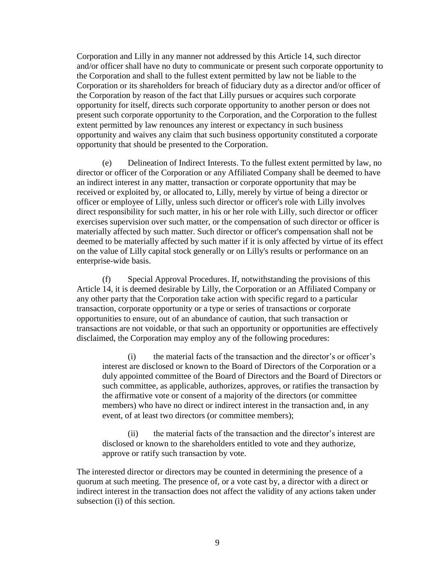Corporation and Lilly in any manner not addressed by this Article 14, such director and/or officer shall have no duty to communicate or present such corporate opportunity to the Corporation and shall to the fullest extent permitted by law not be liable to the Corporation or its shareholders for breach of fiduciary duty as a director and/or officer of the Corporation by reason of the fact that Lilly pursues or acquires such corporate opportunity for itself, directs such corporate opportunity to another person or does not present such corporate opportunity to the Corporation, and the Corporation to the fullest extent permitted by law renounces any interest or expectancy in such business opportunity and waives any claim that such business opportunity constituted a corporate opportunity that should be presented to the Corporation.

(e) Delineation of Indirect Interests. To the fullest extent permitted by law, no director or officer of the Corporation or any Affiliated Company shall be deemed to have an indirect interest in any matter, transaction or corporate opportunity that may be received or exploited by, or allocated to, Lilly, merely by virtue of being a director or officer or employee of Lilly, unless such director or officer's role with Lilly involves direct responsibility for such matter, in his or her role with Lilly, such director or officer exercises supervision over such matter, or the compensation of such director or officer is materially affected by such matter. Such director or officer's compensation shall not be deemed to be materially affected by such matter if it is only affected by virtue of its effect on the value of Lilly capital stock generally or on Lilly's results or performance on an enterprise-wide basis.

(f) Special Approval Procedures. If, notwithstanding the provisions of this Article 14, it is deemed desirable by Lilly, the Corporation or an Affiliated Company or any other party that the Corporation take action with specific regard to a particular transaction, corporate opportunity or a type or series of transactions or corporate opportunities to ensure, out of an abundance of caution, that such transaction or transactions are not voidable, or that such an opportunity or opportunities are effectively disclaimed, the Corporation may employ any of the following procedures:

(i) the material facts of the transaction and the director's or officer's interest are disclosed or known to the Board of Directors of the Corporation or a duly appointed committee of the Board of Directors and the Board of Directors or such committee, as applicable, authorizes, approves, or ratifies the transaction by the affirmative vote or consent of a majority of the directors (or committee members) who have no direct or indirect interest in the transaction and, in any event, of at least two directors (or committee members);

(ii) the material facts of the transaction and the director's interest are disclosed or known to the shareholders entitled to vote and they authorize, approve or ratify such transaction by vote.

The interested director or directors may be counted in determining the presence of a quorum at such meeting. The presence of, or a vote cast by, a director with a direct or indirect interest in the transaction does not affect the validity of any actions taken under subsection (i) of this section.